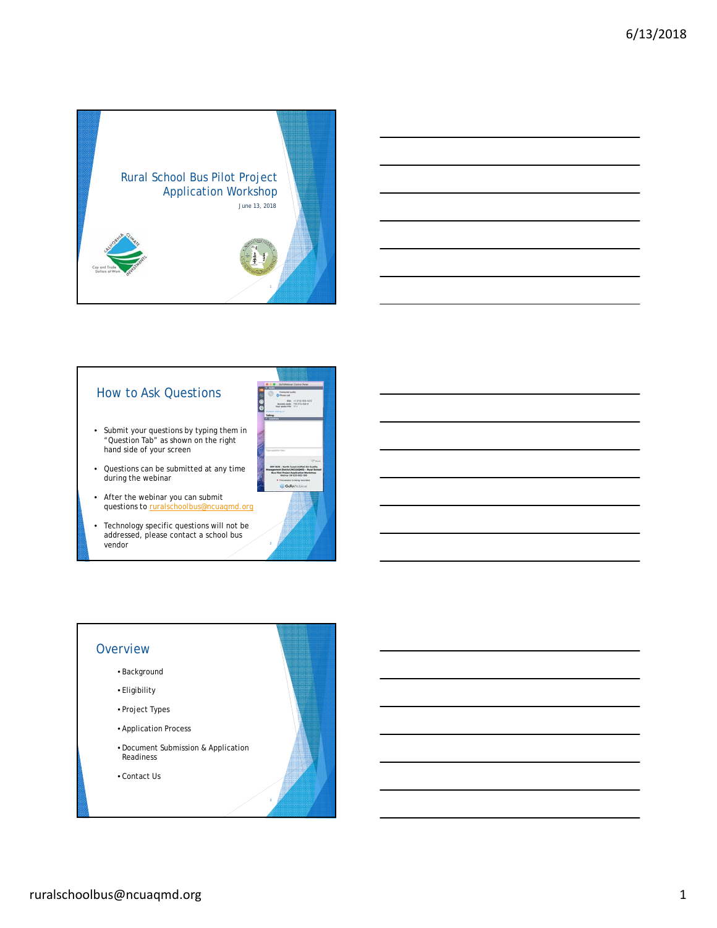



### How to Ask Questions

- 180
- Submit your questions by typing them in "Question Tab" as shown on the right hand side of your screen
- Questions can be submitted at any time during the webinar
- After the webinar you can submit questions to ruralschoolbus@ncuaqmd.org
- Technology specific questions will not be addressed, please contact a school bus vendor

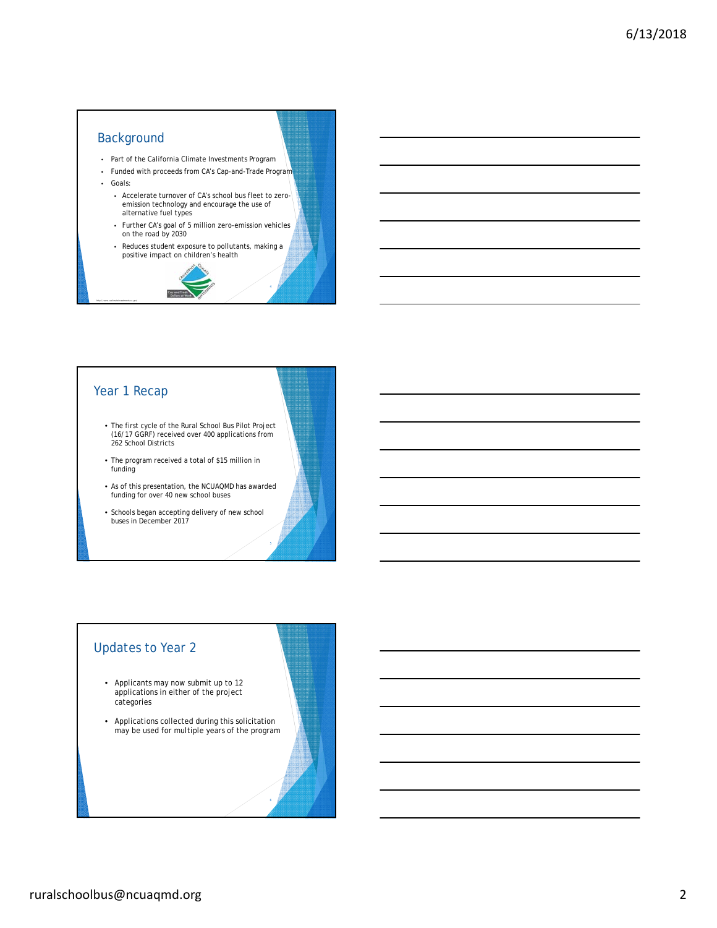# Background

- Part of the California Climate Investments Program
- Funded with proceeds from CA's Cap-and-Trade Program
- Goals:
	- Accelerate turnover of CA's school bus fleet to zeroemission technology and encourage the use of alternative fuel types
	- Further CA's goal of 5 million zero-emission vehicles on the road by 2030
	- Reduces student exposure to pollutants, making a positive impact on children's health



#### Year 1 Recap

- The first cycle of the Rural School Bus Pilot Project (16/17 GGRF) received over 400 applications from 262 School Districts
- The program received a total of \$15 million in funding
- As of this presentation, the NCUAQMD has awarded funding for over 40 new school buses
- Schools began accepting delivery of new school buses in December 2017

# Updates to Year 2

- Applicants may now submit up to 12 applications in either of the project categories
- Applications collected during this solicitation may be used for multiple years of the program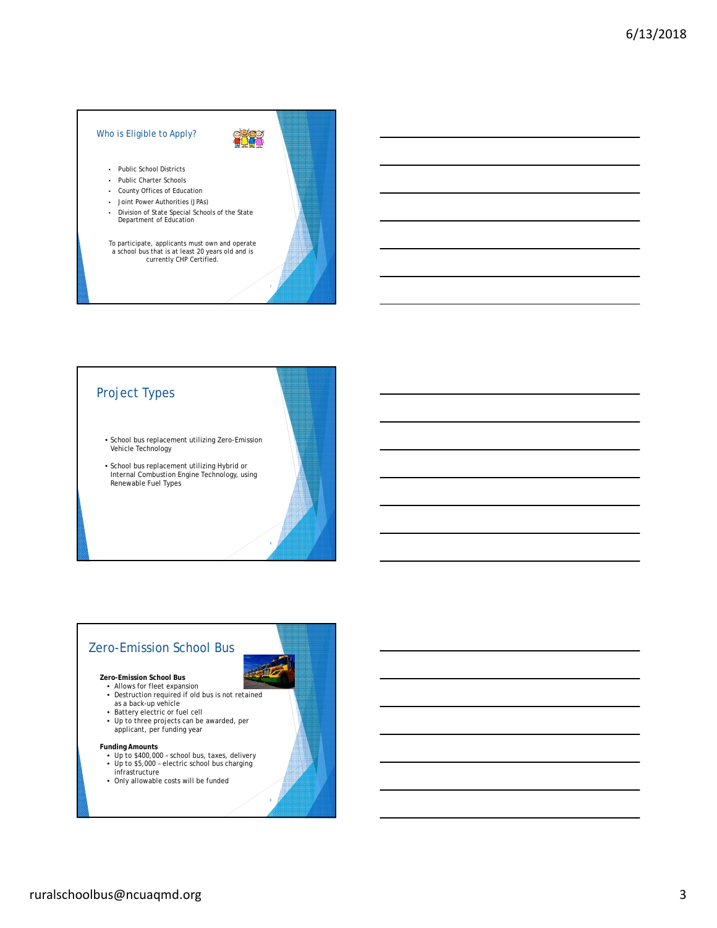#### Who is Eligible to Apply?

• Public School Districts

- Public Charter Schools
- County Offices of Education
- Joint Power Authorities (JPAs)
- Division of State Special Schools of the State Department of Education

To participate, applicants must own and operate a school bus that is at least 20 years old and is currently CHP Certified.

# Project Types

- School bus replacement utilizing Zero-Emission Vehicle Technology
- School bus replacement utilizing Hybrid or Internal Combustion Engine Technology, using Renewable Fuel Types

# Zero-Emission School Bus

#### **Zero-Emission School Bus**

- Allows for fleet expansion
- Destruction required if old bus is not retained as a back-up vehicle Battery electric or fuel cell
- 
- Up to three projects can be awarded, per applicant, per funding year

- **Funding Amounts** Up to \$400,000 school bus, taxes, delivery
- Up to \$5,000 electric school bus charging
- infrastructure
- Only allowable costs will be funded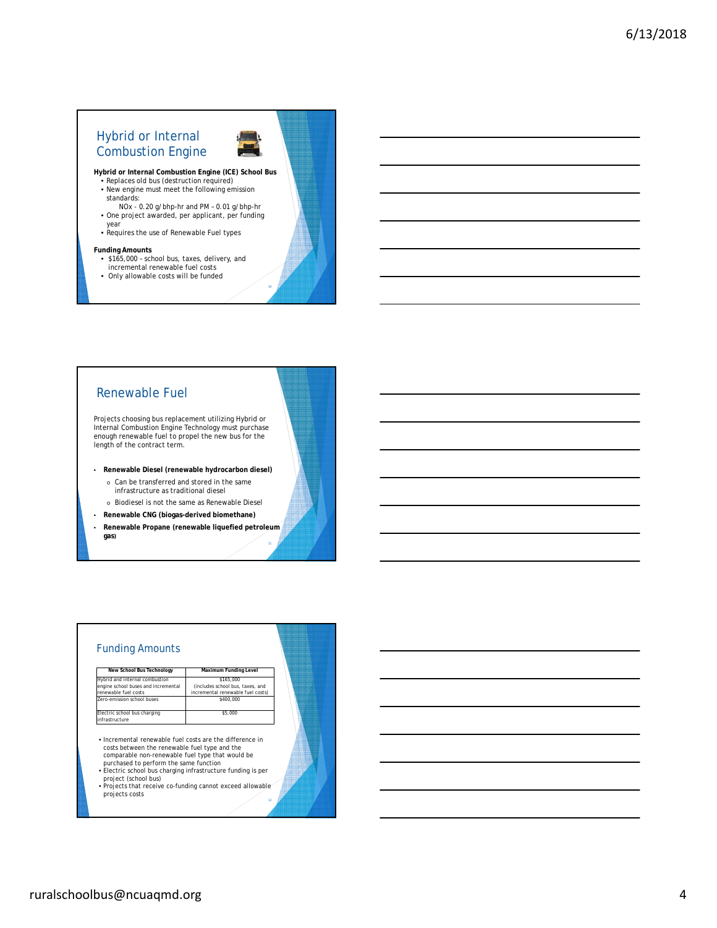# Hybrid or Internal Combustion Engine



**Hybrid or Internal Combustion Engine (ICE) School Bus**

- Replaces old bus (destruction required) New engine must meet the following emission standards:
- NOx 0.20 g/bhp-hr and PM 0.01 g/bhp-hr • One project awarded, per applicant, per funding
- year Requires the use of Renewable Fuel types

- **Funding Amounts** \$165,000 school bus, taxes, delivery, and incremental renewable fuel costs
- Only allowable costs will be funded

#### Renewable Fuel

Projects choosing bus replacement utilizing Hybrid or Internal Combustion Engine Technology must purchase enough renewable fuel to propel the new bus for the length of the contract term.

- **Renewable Diesel (renewable hydrocarbon diesel)** 
	- o Can be transferred and stored in the same infrastructure as traditional diesel
	- o Biodiesel is not the same as Renewable Diesel
- **Renewable CNG (biogas-derived biomethane)**
- **Renewable Propane (renewable liquefied petroleum gas)**

#### Funding Amounts

| New School Bus Technology           | Maximum Funding Level             |  |
|-------------------------------------|-----------------------------------|--|
| Hybrid and internal combustion      | \$165.000                         |  |
| engine school buses and incremental | (includes school bus, taxes, and  |  |
| renewable fuel costs                | incremental renewable fuel costs) |  |
| Zero-emission school buses          | \$400,000                         |  |
| Electric school bus charging        | \$5,000                           |  |
| infrastructure                      |                                   |  |

• Incremental renewable fuel costs are the difference in costs between the renewable fuel type and the comparable non-renewable fuel type that would be

- purchased to perform the same function Electric school bus charging infrastructure funding is per
- project (school bus) • Projects that receive co-funding cannot exceed allowable projects costs
-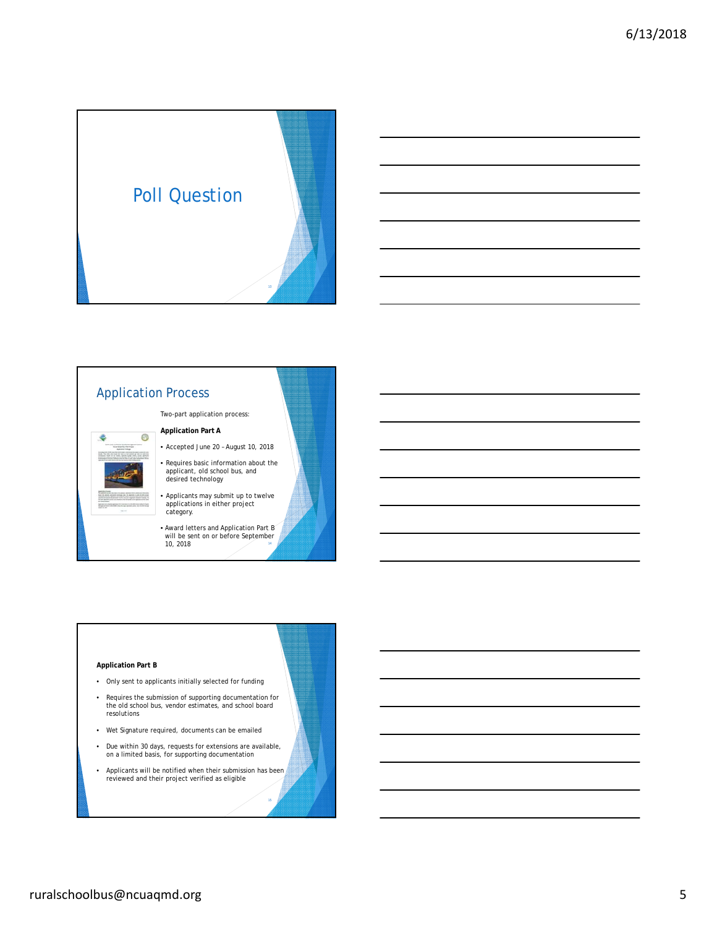



#### Two-part application process: **Application Part A** 0

Application Process

- Accepted June 20 August 10, 2018
- Requires basic information about the applicant, old school bus, and desired technology
- Applicants may submit up to twelve applications in either project category.
- Award letters and Application Part B will be sent on or before September 10, 2018

#### **Application Part B**

- Only sent to applicants initially selected for funding
- Requires the submission of supporting documentation for the old school bus, vendor estimates, and school board resolutions
- Wet Signature required, documents can be emailed
- Due within 30 days, requests for extensions are available, on a limited basis, for supporting documentation
- Applicants will be notified when their submission has been reviewed and their project verified as eligible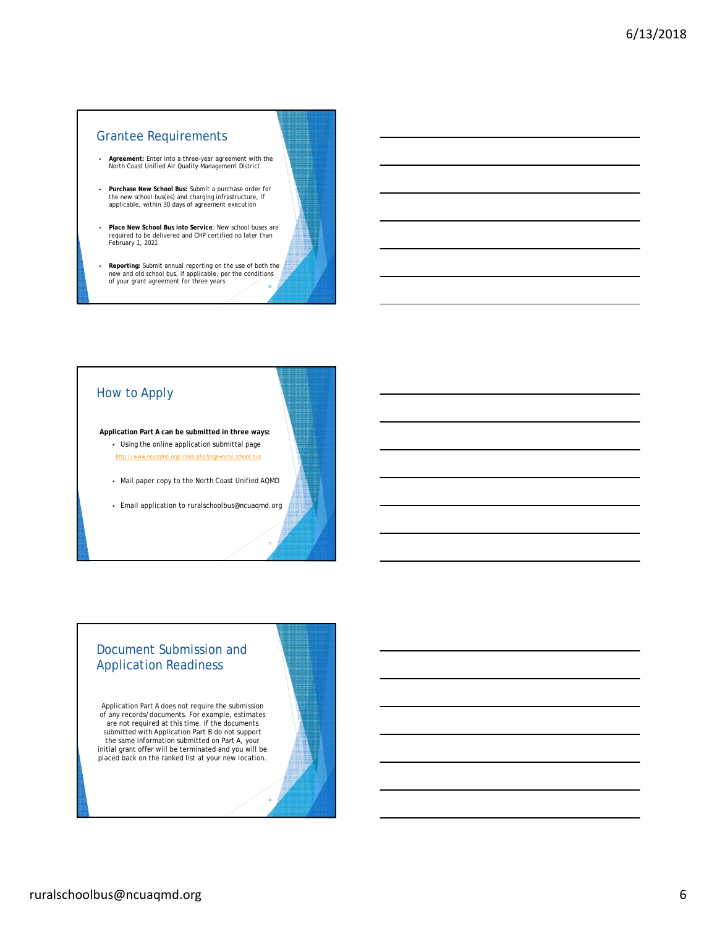### Grantee Requirements

- **Agreement:** Enter into a three-year agreement with the North Coast Unified Air Quality Management District
- **Purchase New School Bus:** Submit a purchase order for the new school bus(es) and charging infrastructure, if applicable, within 30 days of agreement execution
- **Place New School Bus into Service**: New school buses are required to be delivered and CHP certified no later than February 1, 2021
- **Reporting:** Submit annual reporting on the use of both the new and old school bus, if applicable, per the conditions<br>of your grant agreement for three years

### How to Apply

**Application Part A can be submitted in three ways:** • Using the online application submittal page http://www.ncuaqmd.org/index.php?page=rural.school.bus

- Mail paper copy to the North Coast Unified AQMD
- Email application to ruralschoolbus@ncuaqmd.org

#### Document Submission and Application Readiness

Application Part A does not require the submission of any records/documents. For example, estimates are not required at this time. If the documents submitted with Application Part B do not support the same information submitted on Part A, your initial grant offer will be terminated and you will be placed back on the ranked list at your new location.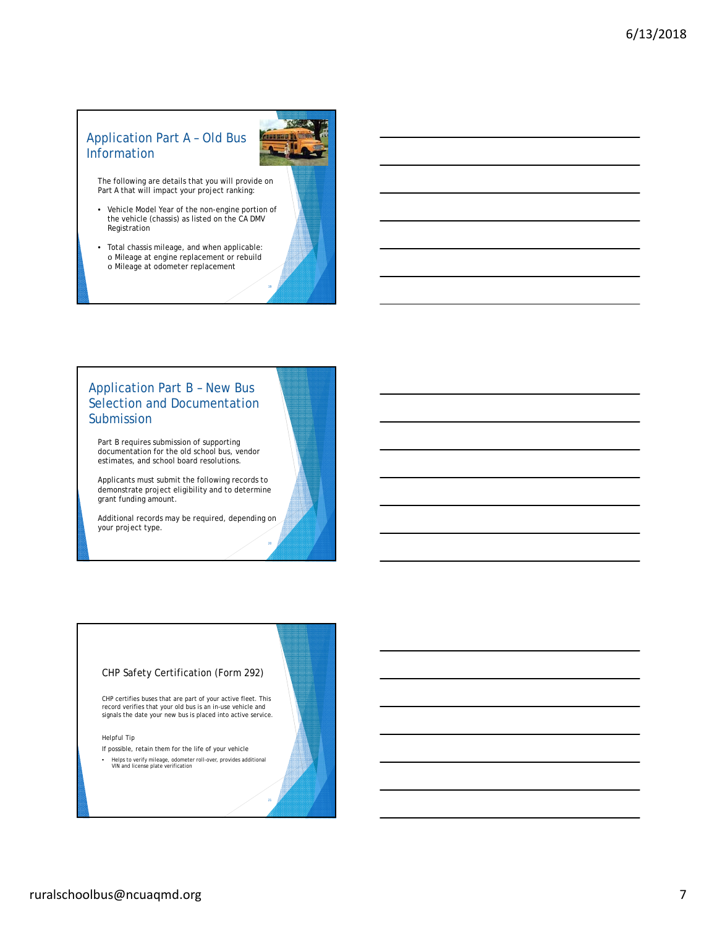# Application Part A – Old Bus Information



The following are details that you will provide on Part A that will impact your project ranking:

- Vehicle Model Year of the non-engine portion of the vehicle (chassis) as listed on the CA DMV Registration
- Total chassis mileage, and when applicable: o Mileage at engine replacement or rebuild o Mileage at odometer replacement



19

# Application Part B – New Bus Selection and Documentation Submission

Part B requires submission of supporting documentation for the old school bus, vendor estimates, and school board resolutions.

Applicants must submit the following records to demonstrate project eligibility and to determine grant funding amount.

Additional records may be required, depending on your project type.

#### CHP Safety Certification (Form 292)

CHP certifies buses that are part of your active fleet. This record verifies that your old bus is an in-use vehicle and signals the date your new bus is placed into active service.

*Helpful Tip*

- If possible, retain them for the life of your vehicle
- Helps to verify mileage, odometer roll-over, provides additional VIN and license plate verification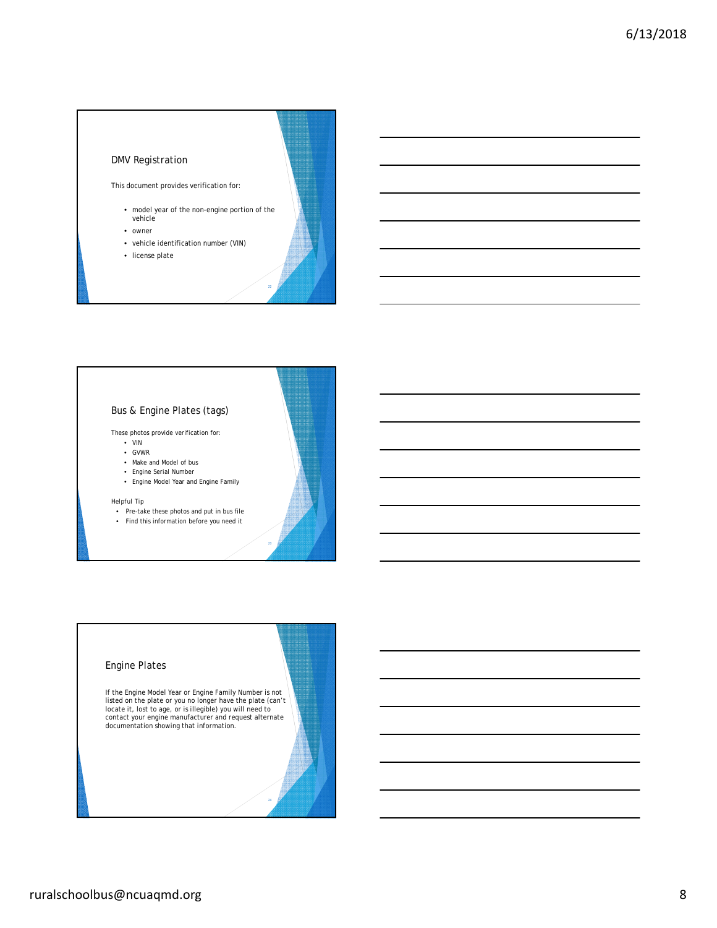#### DMV Registration

This document provides verification for:

- model year of the non-engine portion of the vehicle
- owner
- vehicle identification number (VIN)
- license plate

#### Bus & Engine Plates (tags)

These photos provide verification for:

- VIN
- GVWR
- Make and Model of bus
- Engine Serial Number • Engine Model Year and Engine Family
- 

#### *Helpful Tip*

• Pre-take these photos and put in bus file • Find this information before you need it

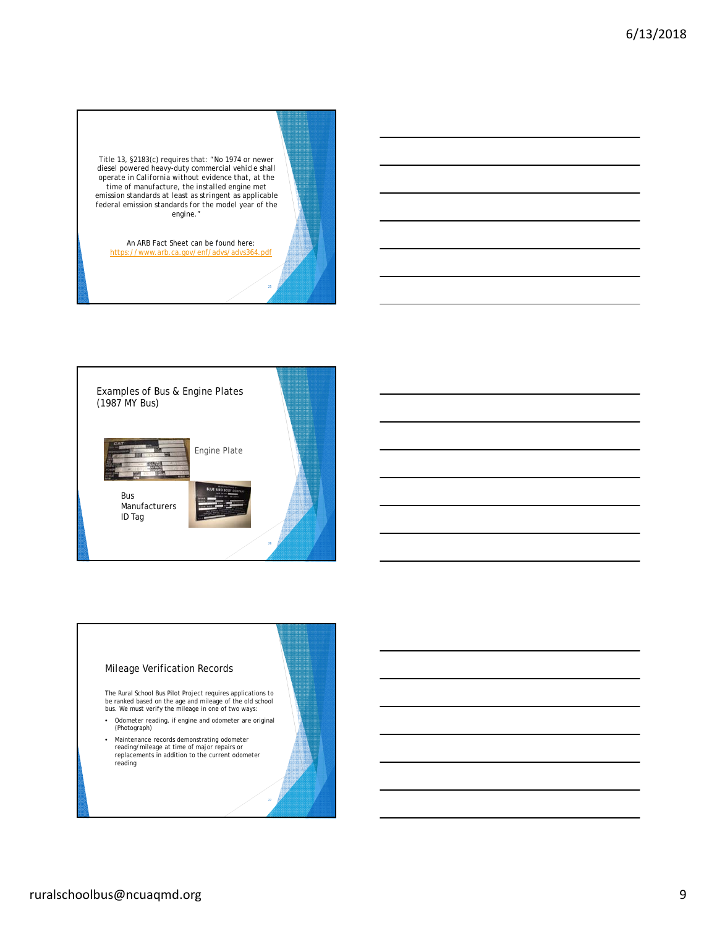Title 13, §2183(c) requires that: *"No 1974 or newer diesel powered heavy-duty commercial vehicle shall operate in California without evidence that, at the time of manufacture, the installed engine met emission standards at least as stringent as applicable federal emission standards for the model year of the engine."*

An ARB Fact Sheet can be found here:<br>https://www.arb.ca.gov/enf/advs/advs364 https://www.pdf



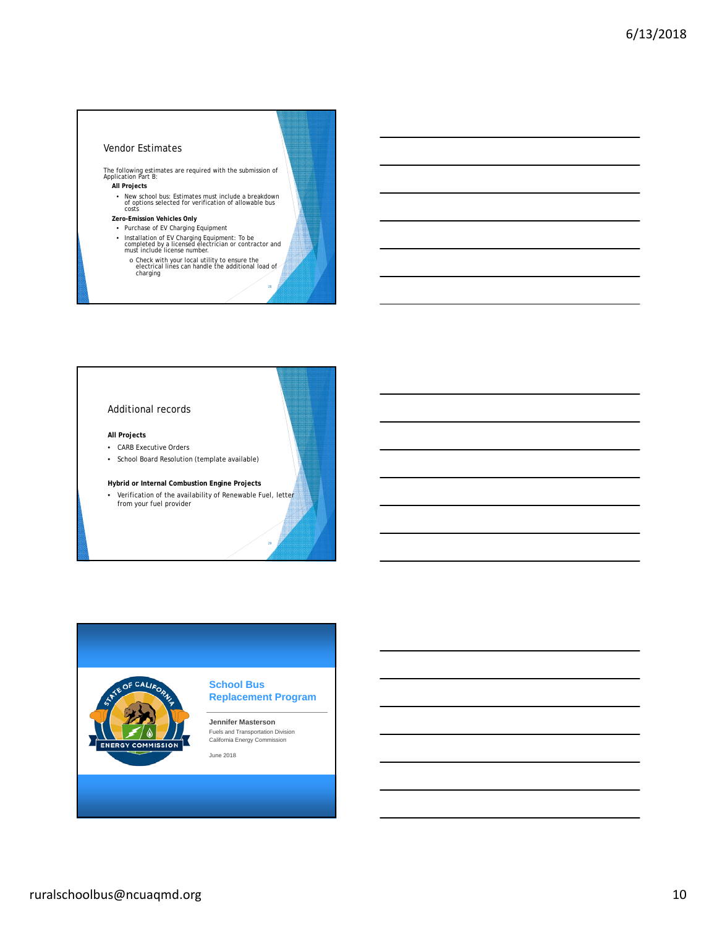#### Vendor Estimates

The following estimates are required with the submission of Application Part B: **All Projects**

- New school bus: Estimates must include a breakdown of options selected for verification of allowable bus costs
- **Zero-Emission Vehicles Only**
- Purchase of EV Charging Equipment
- Installation of EV Charging Equipment: To be completed by a licensed electrician or contractor and must include license number.
- o Check with your local utility to ensure the electrical lines can handle the additional load of charging

28

#### Additional records

**All Projects**

- CARB Executive Orders
- School Board Resolution (template available)

#### **Hybrid or Internal Combustion Engine Projects**

• Verification of the availability of Renewable Fuel, letter from your fuel provider



**School Bus Replacement Program**

## **Jennifer Masterson** Fuels and Transportation Division California Energy Commission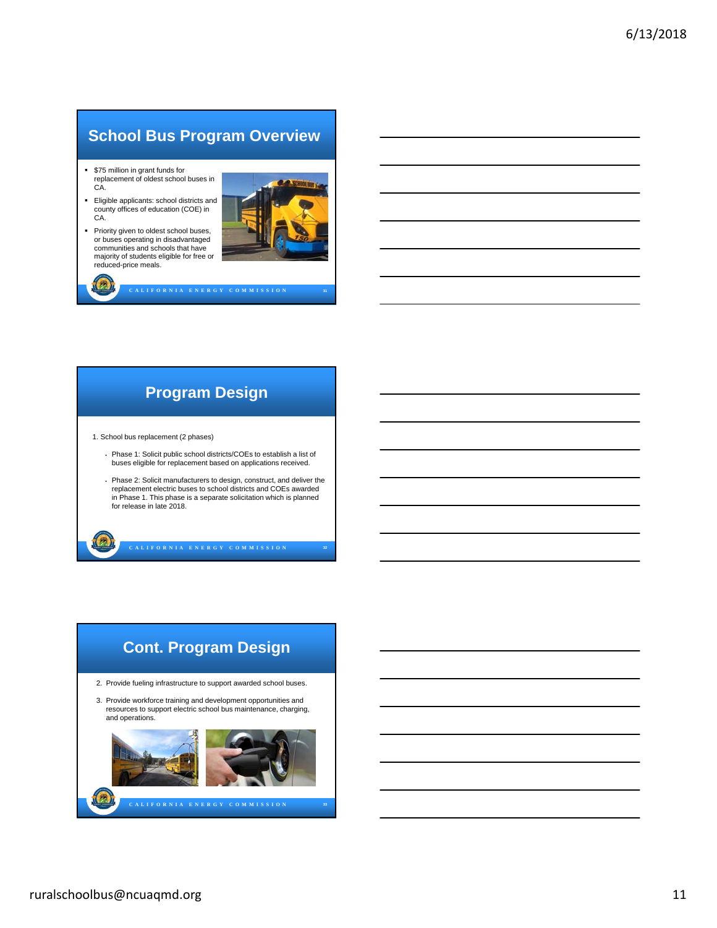# **School Bus Program Overview**

- \$75 million in grant funds for replacement of oldest school buses in CA.
- Eligible applicants: school districts and county offices of education (COE) in CA.
- **Priority given to oldest school buses,** or buses operating in disadvantaged communities and schools that have majority of students eligible for free or reduced-price meals.

图



# **Program Design**

**C A L I F O R N I A E N E R G Y C O M M I S S I O N 31**

1. School bus replacement (2 phases)

- Phase 1: Solicit public school districts/COEs to establish a list of buses eligible for replacement based on applications received.
- Phase 2: Solicit manufacturers to design, construct, and deliver the replacement electric buses to school districts and COEs awarded in Phase 1. This phase is a separate solicitation which is planned for release in late 2018.

**C A L I F O R N I A E N E R G Y C O M M I S S I O N** 

# **C A L I F O R N I A E N E R G Y C O M M I S S I O N 33 Cont. Program Design** 2. Provide fueling infrastructure to support awarded school buses. 3. Provide workforce training and development opportunities and resources to support electric school bus maintenance, charging, and operations.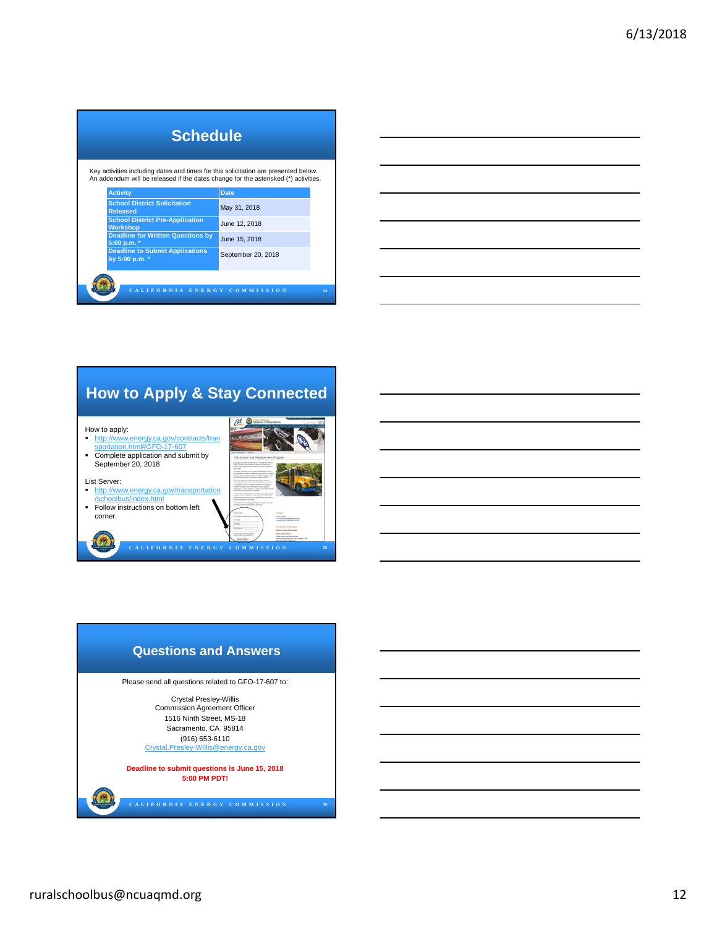| <b>Schedule</b>                                                                                                                                                            |                             |  |  |  |  |
|----------------------------------------------------------------------------------------------------------------------------------------------------------------------------|-----------------------------|--|--|--|--|
| Key activities including dates and times for this solicitation are presented below.<br>An addendum will be released if the dates change for the asterisked (*) activities. |                             |  |  |  |  |
| <b>Activity</b><br><b>School District Solicitation</b><br><b>Released</b>                                                                                                  | <b>Date</b><br>May 31, 2018 |  |  |  |  |
| <b>School District Pre-Application</b><br><b>Workshop</b>                                                                                                                  | June 12, 2018               |  |  |  |  |
| <b>Deadline for Written Questions by</b><br>5:00 p.m. *                                                                                                                    | June 15, 2018               |  |  |  |  |
| <b>Deadline to Submit Applications</b><br>by 5:00 p.m. *                                                                                                                   | September 20, 2018          |  |  |  |  |
| CALIFORNIA ENERGY                                                                                                                                                          | <b>COMMISSION</b><br>34     |  |  |  |  |

| <u> 1989 - Johann Stoff, amerikansk politiker (d. 1989)</u>                                                            |  |                          |
|------------------------------------------------------------------------------------------------------------------------|--|--------------------------|
| <u> 1989 - Johann Barn, mars ann an t-Amhainn an t-Amhainn an t-Amhainn an t-Amhainn an t-Amhainn an t-Amhainn an</u>  |  |                          |
| <u> 1989 - Andrea Andrew Maria (h. 1989).</u>                                                                          |  |                          |
| <u> 1989 - Johann Barn, mars ann an t-Amhain ann an t-Amhain ann an t-Amhain ann an t-Amhain an t-Amhain ann an t-</u> |  |                          |
| ,我们也不会有什么。""我们的人,我们也不会有什么?""我们的人,我们也不会有什么?""我们的人,我们也不会有什么?""我们的人,我们也不会有什么?""我们的人                                       |  |                          |
| <u> 1989 - Andrea Stadt Britain, amerikansk politik (* 1908)</u>                                                       |  | $\overline{\phantom{a}}$ |
|                                                                                                                        |  |                          |
| <u> 1989 - Johann Stoff, deutscher Stoff, der Stoff, der Stoff, der Stoff, der Stoff, der Stoff, der Stoff, der S</u>  |  |                          |

Ĭ.

# **How to Apply & Stay Connected**

How to apply:<br>
<u>http://www.</u>

圆

w.energy.ca.gov/contracts/tran sportation.html#GFO-17-607 Complete application and submit by September 20, 2018



- List Server: http://www.energy.ca.gov/transportation /schoolbus/index.html
- **Follow instructions on bottom left** corner

**C A L I F O R N I A E N E R G Y C O M M I S S I O N 35**

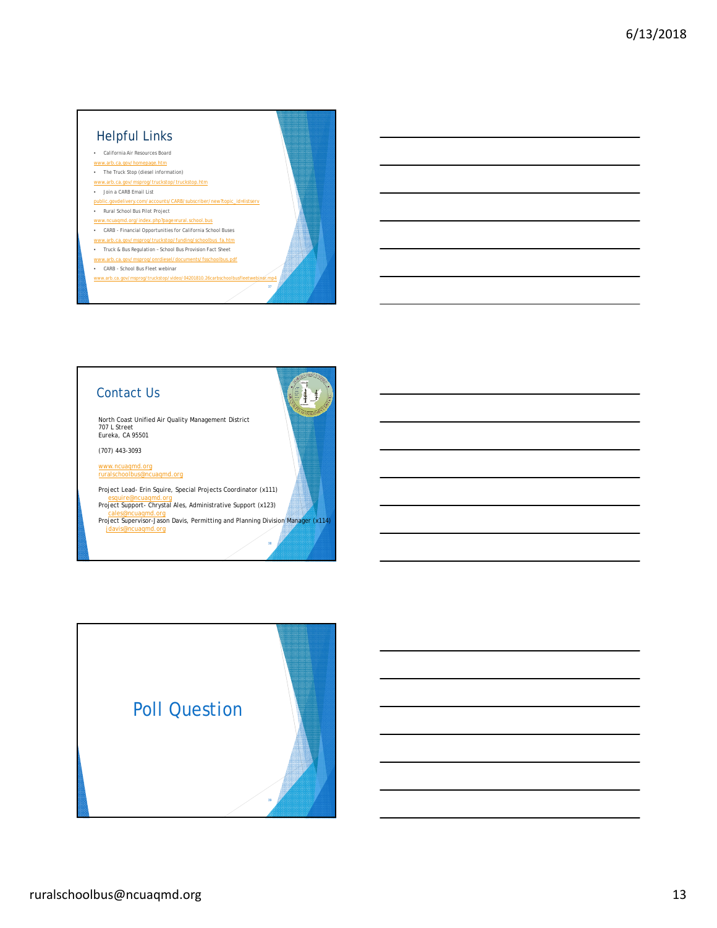# Helpful Links

#### • California Air Resources Board www.arb.ca.gov/homepage.htm

- The Truck Stop (diesel information)
- www.arb.ca.gov/msprog/truckstop/truckstop.htm • Join a CARB Email List
- public.govdelivery.com/accounts/CARB/subscriber/new?topic\_id=listserv
- Rural School Bus Pilot Project
- w.ncuaqmd.org/index.php?page=rural.school.bus
- CARB Financial Opportunities for California School Buses
- www.arb.ca.gov/msprog/truckstop/funding/schoolbus\_fa.htm
- Truck & Bus Regulation School Bus Provision Fact Sheet www.arb.ca.gov/msprog/onrdiesel/documents/fsschoolbus.pdf
- CARB School Bus Fleet webinar
- www.arb.ca.gov/msprog/truckstop/video/04201810.26carbschoolbusfleetwebinar.mp4

# Contact Us

North Coast Unified Air Quality Management District 707 L Street Eureka, CA 95501

(707) 443-3093

www.ncuaqmd.org ruralschoolbus@ncuaqmd.org

Project Lead- Erin Squire, Special Projects Coordinator (x111) esquire@ncuaqmd.org Project Support- Chrystal Ales, Administrative Support (x123)

cales@ncuaqmd.org Project Supervisor-Jason Davis, Permitting and Planning Division Manager (x114) jdavis@ncuaqmd.org

 $\frac{1}{4}$